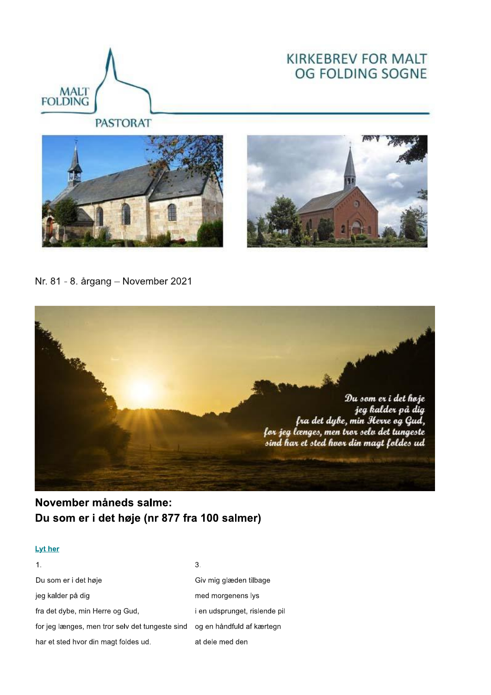

# **KIRKEBREV FOR MALT** OG FOLDING SOGNE

**PASTORAT** 





Nr. 81 - 8. årgang - November 2021



## November måneds salme: Du som er i det høje (nr 877 fra 100 salmer)

#### **Lyt her**

|                                                                           | 3.                            |
|---------------------------------------------------------------------------|-------------------------------|
| Du som er i det høje                                                      | Giv mig glæden tilbage        |
| jeg kalder på dig                                                         | med morgenens lys             |
| fra det dybe, min Herre og Gud,                                           | i en udsprunget, rislende pil |
| for jeg længes, men tror selv det tungeste sind og en håndfuld af kærtegn |                               |
| har et sted hvor din magt foldes ud.                                      | at dele med den               |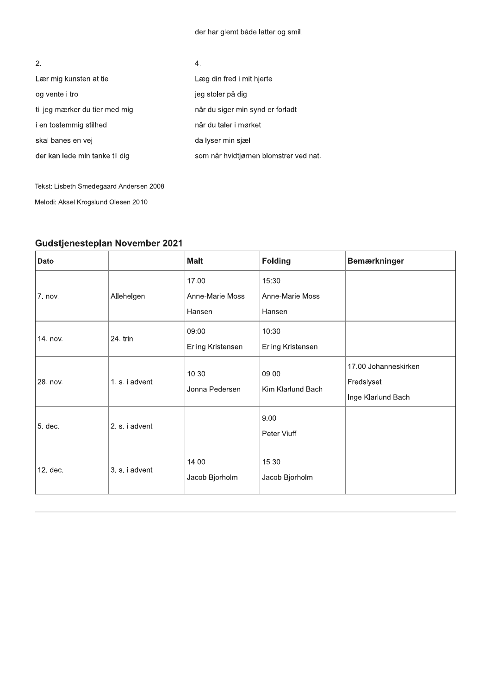der har glemt både latter og smil.

| 2.                             | 4.                                     |
|--------------------------------|----------------------------------------|
| Lær mig kunsten at tie         | Læg din fred i mit hjerte              |
| og vente i tro                 | jeg stoler på dig                      |
| til jeg mærker du tier med mig | når du siger min synd er forladt       |
| i en tostemmig stilhed         | når du taler i mørket                  |
| skal banes en vej              | da lyser min sjæl                      |
| der kan lede min tanke til dig | som når hvidtjørnen blomstrer ved nat. |

Tekst: Lisbeth Smedegaard Andersen 2008 Melodi: Aksel Krogslund Olesen 2010

### Gudstjenesteplan November 2021

| Dato     |                | <b>Malt</b>                        | <b>Folding</b>                     | <b>Bemærkninger</b>                                      |
|----------|----------------|------------------------------------|------------------------------------|----------------------------------------------------------|
| 7. nov.  | Allehelgen     | 17.00<br>Anne-Marie Moss<br>Hansen | 15:30<br>Anne-Marie Moss<br>Hansen |                                                          |
| 14. nov. | 24. trin       | 09:00<br>Erling Kristensen         | 10:30<br>Erling Kristensen         |                                                          |
| 28. nov. | 1. s. i advent | 10.30<br>Jonna Pedersen            | 09.00<br>Kim Klarlund Bach         | 17.00 Johanneskirken<br>Fredslyset<br>Inge Klarlund Bach |
| 5. dec.  | 2. s. i advent |                                    | 9.00<br>Peter Viuff                |                                                          |
| 12. dec. | 3. s. i advent | 14.00<br>Jacob Bjorholm            | 15.30<br>Jacob Bjorholm            |                                                          |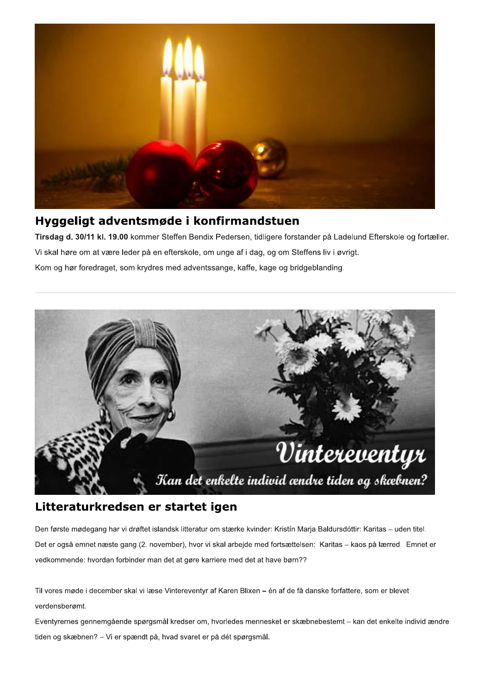

### Hyggeligt adventsmøde i konfirmandstuen

Tirsdag d. 30/11 kl. 19.00 kommer Steffen Bendix Pedersen, tidligere forstander på Ladelund Efterskole og fortæller. Vi skal høre om at være leder på en efterskole, om unge af i dag, og om Steffens liv i øvrigt. Kom og hør foredraget, som krydres med adventssange, kaffe, kage og bridgeblanding.



## Litteraturkredsen er startet igen

Den første mødegang har vi drøftet islandsk litteratur om stærke kvinder: Kristín Marja Baldursdóttir: Karitas – uden titel. Det er også emnet næste gang (2. november), hvor vi skal arbejde med fortsættelsen: Karitas - kaos på lærred. Emnet er vedkommende: hvordan forbinder man det at gøre karriere med det at have børn??

Til vores møde i december skal vi læse Vintereventyr af Karen Blixen – én af de få danske forfattere, som er blevet verdensberømt.

Eventyrernes gennemgående spørgsmål kredser om, hvorledes mennesket er skæbnebestemt - kan det enkelte individ ændre tiden og skæbnen? - Vi er spændt på, hvad svaret er på dét spørgsmål.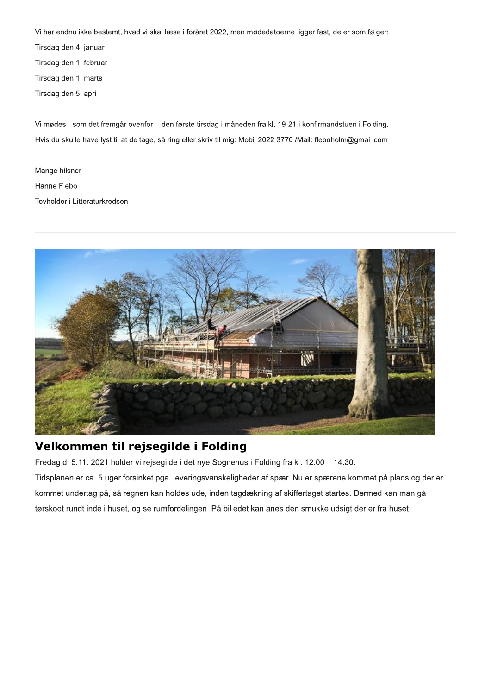Vi har endnu ikke bestemt, hvad vi skal læse i foråret 2022, men mødedatoerne ligger fast, de er som følger:

Tirsdag den 4. januar

Tirsdag den 1. februar

Tirsdag den 1. marts

Tirsdag den 5. april

Vi mødes - som det fremgår ovenfor - den første tirsdag i måneden fra kl. 19-21 i konfirmandstuen i Folding. Hvis du skulle have lyst til at deltage, så ring eller skriv til mig: Mobil 2022 3770 /Mail: fleboholm@gmail.com

Mange hilsner Hanne Flebo Tovholder i Litteraturkredsen



## Velkommen til rejsegilde i Folding

Fredag d. 5.11. 2021 holder vi rejsegilde i det nye Sognehus i Folding fra kl. 12.00 - 14.30. Tidsplanen er ca. 5 uger forsinket pga. leveringsvanskeligheder af spær. Nu er spærene kommet på plads og der er kommet undertag på, så regnen kan holdes ude, inden tagdækning af skiffertaget startes. Dermed kan man gå tørskoet rundt inde i huset, og se rumfordelingen. På billedet kan anes den smukke udsigt der er fra huset.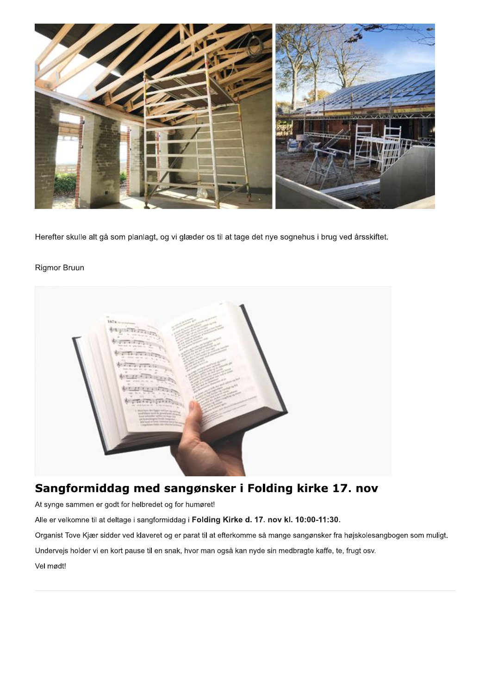

Herefter skulle alt gå som planlagt, og vi glæder os til at tage det nye sognehus i brug ved årsskiftet.

#### **Rigmor Bruun**



# Sangformiddag med sangønsker i Folding kirke 17. nov

At synge sammen er godt for helbredet og for humøret!

Alle er velkomne til at deltage i sangformiddag i Folding Kirke d. 17. nov kl. 10:00-11:30.

Organist Tove Kjær sidder ved klaveret og er parat til at efterkomme så mange sangønsker fra højskolesangbogen som muligt.

Undervejs holder vi en kort pause til en snak, hvor man også kan nyde sin medbragte kaffe, te, frugt osv.

Vel mødt!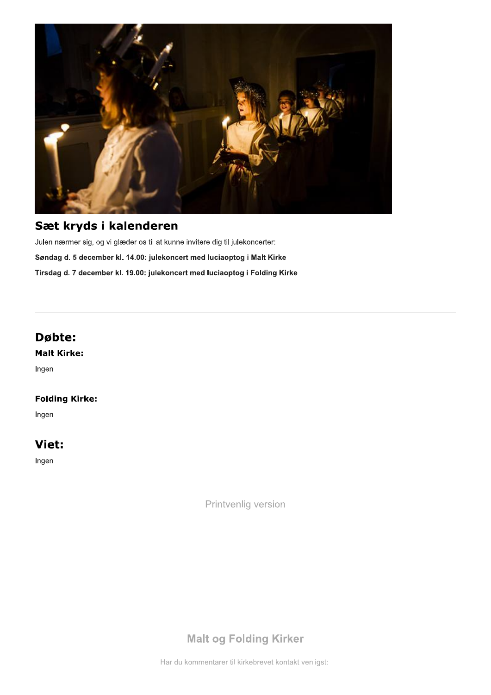

# Sæt kryds i kalenderen

Julen nærmer sig, og vi glæder os til at kunne invitere dig til julekoncerter: Søndag d. 5 december kl. 14.00: julekoncert med luciaoptog i Malt Kirke Tirsdag d. 7 december kl. 19.00: julekoncert med luciaoptog i Folding Kirke

### Døbte:

**Malt Kirke:** 

Ingen

#### **Folding Kirke:**

Ingen

## Viet:

Ingen

Printvenlig version

# **Malt og Folding Kirker**